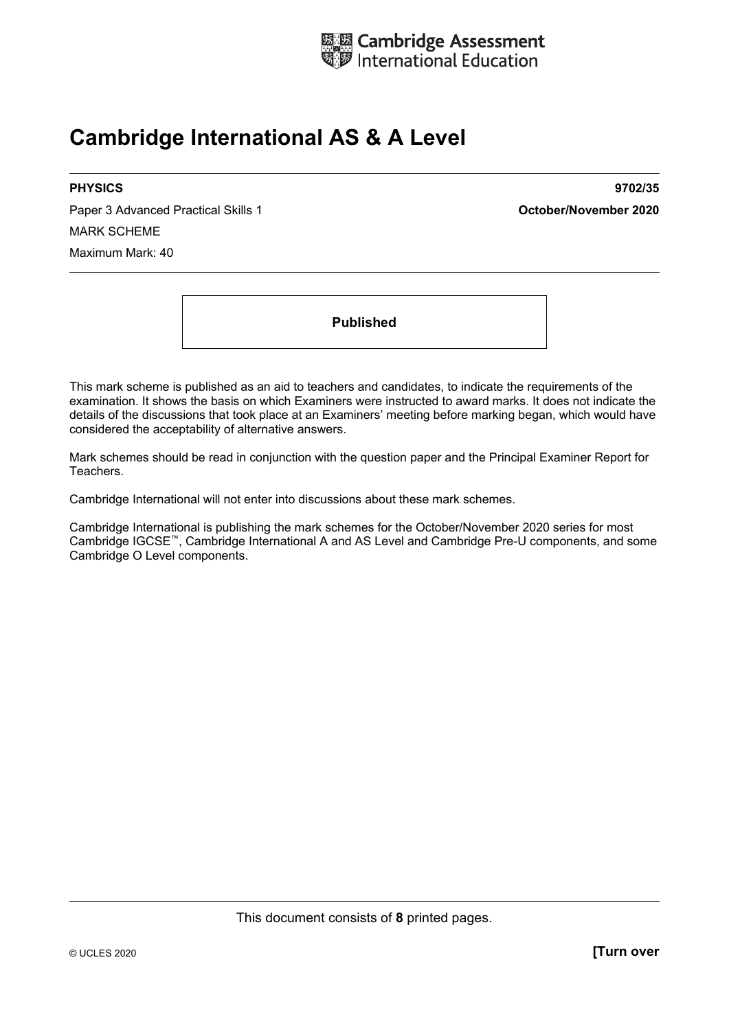

# **Cambridge International AS & A Level**

Paper 3 Advanced Practical Skills 1 **October/November 2020** MARK SCHEME Maximum Mark: 40

**PHYSICS 9702/35** 

**Published** 

This mark scheme is published as an aid to teachers and candidates, to indicate the requirements of the examination. It shows the basis on which Examiners were instructed to award marks. It does not indicate the details of the discussions that took place at an Examiners' meeting before marking began, which would have considered the acceptability of alternative answers.

Mark schemes should be read in conjunction with the question paper and the Principal Examiner Report for Teachers.

Cambridge International will not enter into discussions about these mark schemes.

Cambridge International is publishing the mark schemes for the October/November 2020 series for most Cambridge IGCSE™, Cambridge International A and AS Level and Cambridge Pre-U components, and some Cambridge O Level components.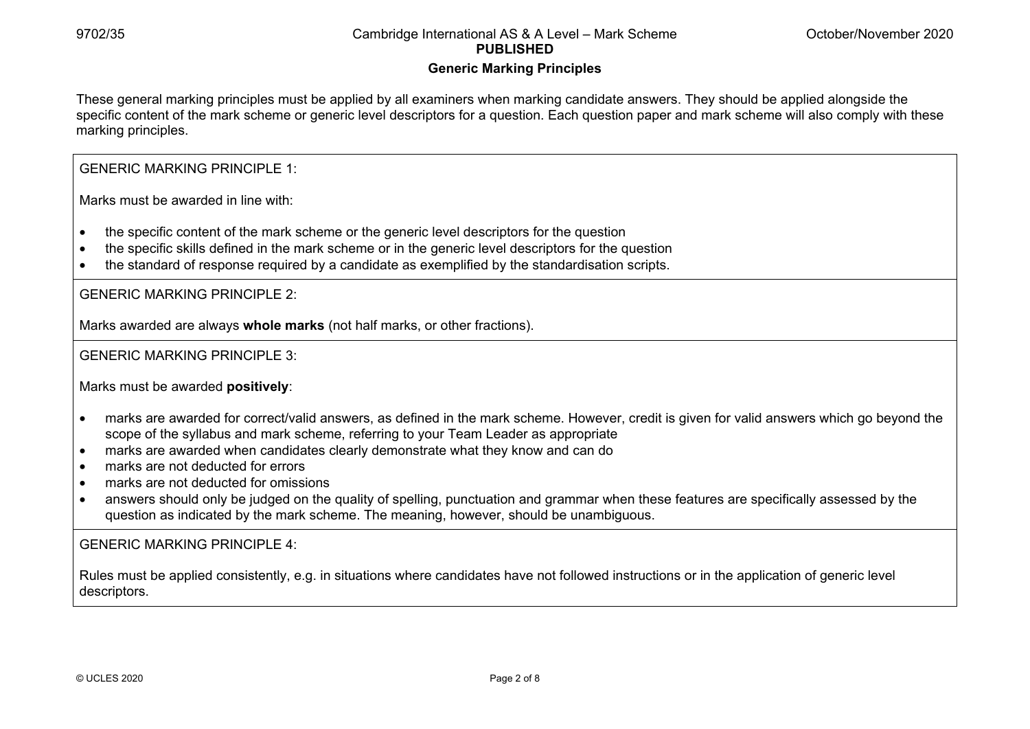#### **Generic Marking Principles**

These general marking principles must be applied by all examiners when marking candidate answers. They should be applied alongside the specific content of the mark scheme or generic level descriptors for a question. Each question paper and mark scheme will also comply with these marking principles.

GENERIC MARKING PRINCIPLE 1:

Marks must be awarded in line with:

- the specific content of the mark scheme or the generic level descriptors for the question
- the specific skills defined in the mark scheme or in the generic level descriptors for the question
- the standard of response required by a candidate as exemplified by the standardisation scripts.

GENERIC MARKING PRINCIPLE 2:

Marks awarded are always **whole marks** (not half marks, or other fractions).

GENERIC MARKING PRINCIPLE 3:

Marks must be awarded **positively**:

- marks are awarded for correct/valid answers, as defined in the mark scheme. However, credit is given for valid answers which go beyond the scope of the syllabus and mark scheme, referring to your Team Leader as appropriate
- marks are awarded when candidates clearly demonstrate what they know and can do
- marks are not deducted for errors
- marks are not deducted for omissions
- answers should only be judged on the quality of spelling, punctuation and grammar when these features are specifically assessed by the question as indicated by the mark scheme. The meaning, however, should be unambiguous.

GENERIC MARKING PRINCIPLE 4:

Rules must be applied consistently, e.g. in situations where candidates have not followed instructions or in the application of generic level descriptors.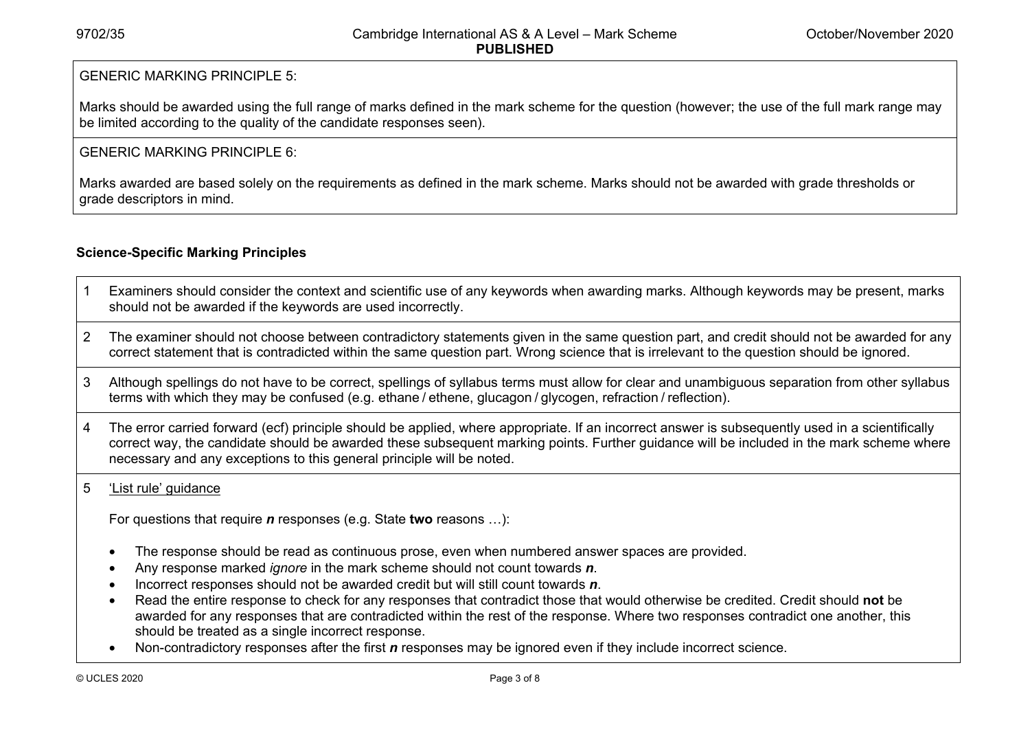### GENERIC MARKING PRINCIPLE 5:

Marks should be awarded using the full range of marks defined in the mark scheme for the question (however; the use of the full mark range may be limited according to the quality of the candidate responses seen).

#### GENERIC MARKING PRINCIPLE 6:

Marks awarded are based solely on the requirements as defined in the mark scheme. Marks should not be awarded with grade thresholds or grade descriptors in mind.

### **Science-Specific Marking Principles**

- 1 Examiners should consider the context and scientific use of any keywords when awarding marks. Although keywords may be present, marks should not be awarded if the keywords are used incorrectly.
- 2 The examiner should not choose between contradictory statements given in the same question part, and credit should not be awarded for any correct statement that is contradicted within the same question part. Wrong science that is irrelevant to the question should be ignored.
- 3 Although spellings do not have to be correct, spellings of syllabus terms must allow for clear and unambiguous separation from other syllabus terms with which they may be confused (e.g. ethane / ethene, glucagon / glycogen, refraction / reflection).
- 4 The error carried forward (ecf) principle should be applied, where appropriate. If an incorrect answer is subsequently used in a scientifically correct way, the candidate should be awarded these subsequent marking points. Further guidance will be included in the mark scheme where necessary and any exceptions to this general principle will be noted.

#### 5 'List rule' guidance

For questions that require *<sup>n</sup>* responses (e.g. State **two** reasons …):

- The response should be read as continuous prose, even when numbered answer spaces are provided.
- Any response marked *ignore* in the mark scheme should not count towards *n*.
- Incorrect responses should not be awarded credit but will still count towards *n*.
- Read the entire response to check for any responses that contradict those that would otherwise be credited. Credit should **not** be awarded for any responses that are contradicted within the rest of the response. Where two responses contradict one another, this should be treated as a single incorrect response.
- Non-contradictory responses after the first *n* responses may be ignored even if they include incorrect science.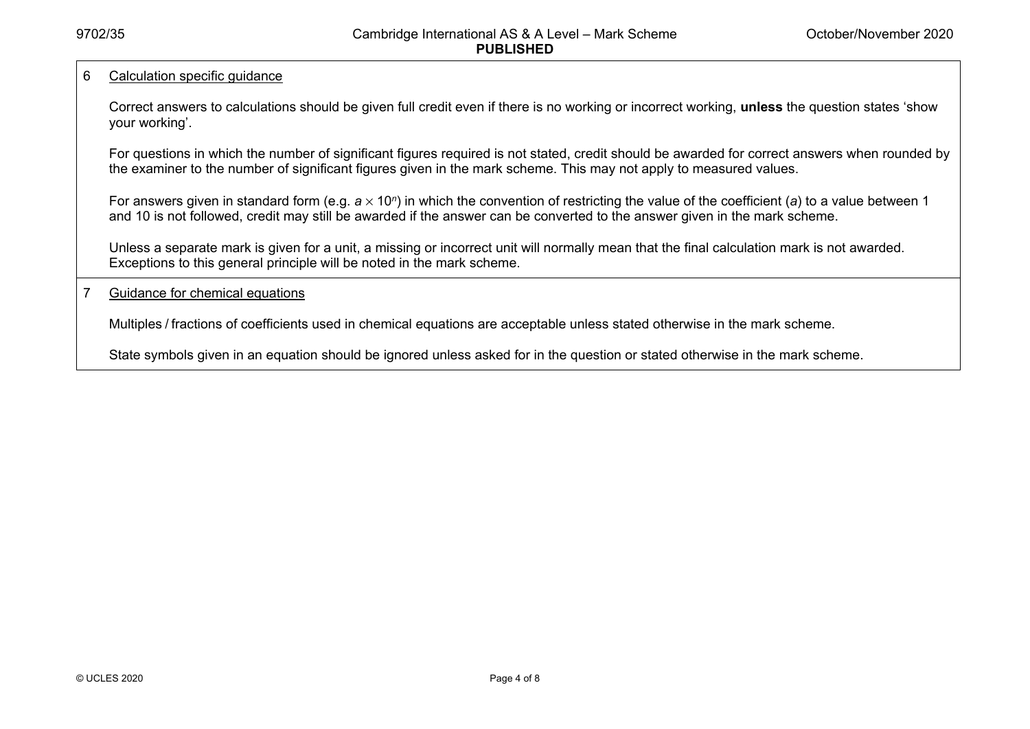#### 6 Calculation specific guidance

Correct answers to calculations should be given full credit even if there is no working or incorrect working, **unless** the question states 'show your working'.

For questions in which the number of significant figures required is not stated, credit should be awarded for correct answers when rounded by the examiner to the number of significant figures given in the mark scheme. This may not apply to measured values.

For answers given in standard form (e.g. a × 10<sup>*n*</sup>) in which the convention of restricting the value of the coefficient (a) to a value between 1 and 10 is not followed, credit may still be awarded if the answer can be converted to the answer given in the mark scheme.

Unless a separate mark is given for a unit, a missing or incorrect unit will normally mean that the final calculation mark is not awarded. Exceptions to this general principle will be noted in the mark scheme.

#### 7 Guidance for chemical equations

Multiples / fractions of coefficients used in chemical equations are acceptable unless stated otherwise in the mark scheme.

State symbols given in an equation should be ignored unless asked for in the question or stated otherwise in the mark scheme.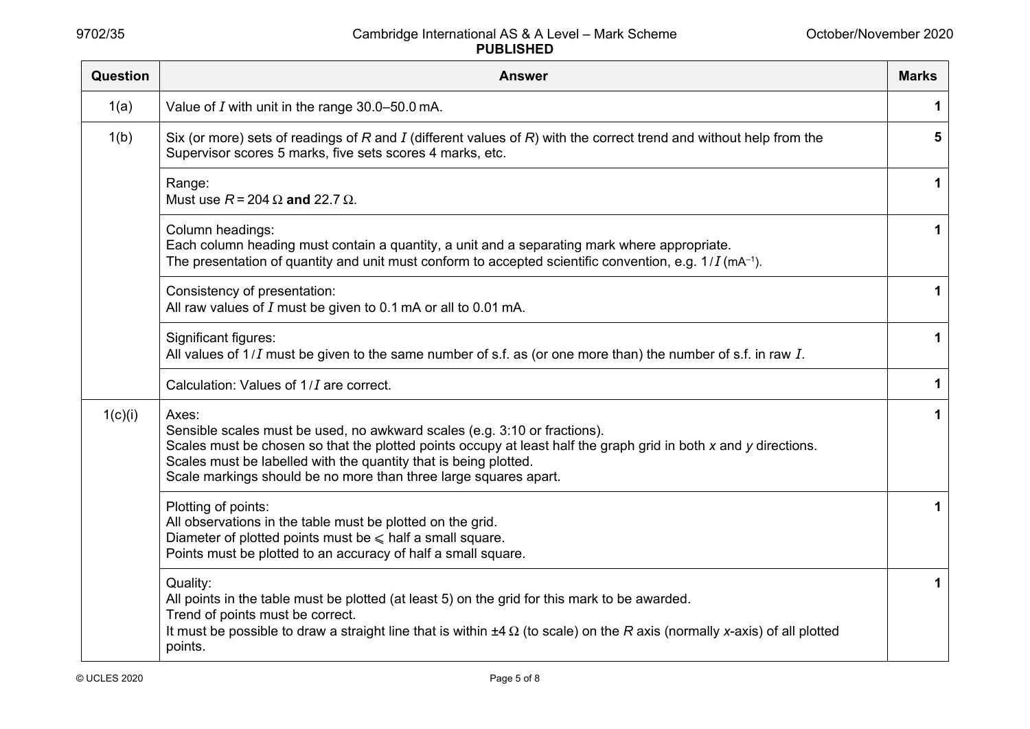| Question | <b>Answer</b>                                                                                                                                                                                                                                                                                                                                  | <b>Marks</b> |
|----------|------------------------------------------------------------------------------------------------------------------------------------------------------------------------------------------------------------------------------------------------------------------------------------------------------------------------------------------------|--------------|
| 1(a)     | Value of $I$ with unit in the range 30.0-50.0 mA.                                                                                                                                                                                                                                                                                              | 1            |
| 1(b)     | Six (or more) sets of readings of R and I (different values of R) with the correct trend and without help from the<br>Supervisor scores 5 marks, five sets scores 4 marks, etc.                                                                                                                                                                | 5            |
|          | Range:<br>Must use $R = 204 \Omega$ and 22.7 $\Omega$ .                                                                                                                                                                                                                                                                                        | 1            |
|          | Column headings:<br>Each column heading must contain a quantity, a unit and a separating mark where appropriate.<br>The presentation of quantity and unit must conform to accepted scientific convention, e.g. $1/I$ (mA <sup>-1</sup> ).                                                                                                      | $\mathbf 1$  |
|          | Consistency of presentation:<br>All raw values of $I$ must be given to 0.1 mA or all to 0.01 mA.                                                                                                                                                                                                                                               | 1            |
|          | Significant figures:<br>All values of $1/I$ must be given to the same number of s.f. as (or one more than) the number of s.f. in raw $I$ .                                                                                                                                                                                                     | $\mathbf 1$  |
|          | Calculation: Values of 1/ <i>I</i> are correct.                                                                                                                                                                                                                                                                                                | $\mathbf{1}$ |
| 1(c)(i)  | Axes:<br>Sensible scales must be used, no awkward scales (e.g. 3:10 or fractions).<br>Scales must be chosen so that the plotted points occupy at least half the graph grid in both x and y directions.<br>Scales must be labelled with the quantity that is being plotted.<br>Scale markings should be no more than three large squares apart. | 1            |
|          | Plotting of points:<br>All observations in the table must be plotted on the grid.<br>Diameter of plotted points must be $\leq$ half a small square.<br>Points must be plotted to an accuracy of half a small square.                                                                                                                           | 1            |
|          | Quality:<br>All points in the table must be plotted (at least 5) on the grid for this mark to be awarded.<br>Trend of points must be correct.<br>It must be possible to draw a straight line that is within $\pm 4 \Omega$ (to scale) on the R axis (normally x-axis) of all plotted<br>points.                                                | 1            |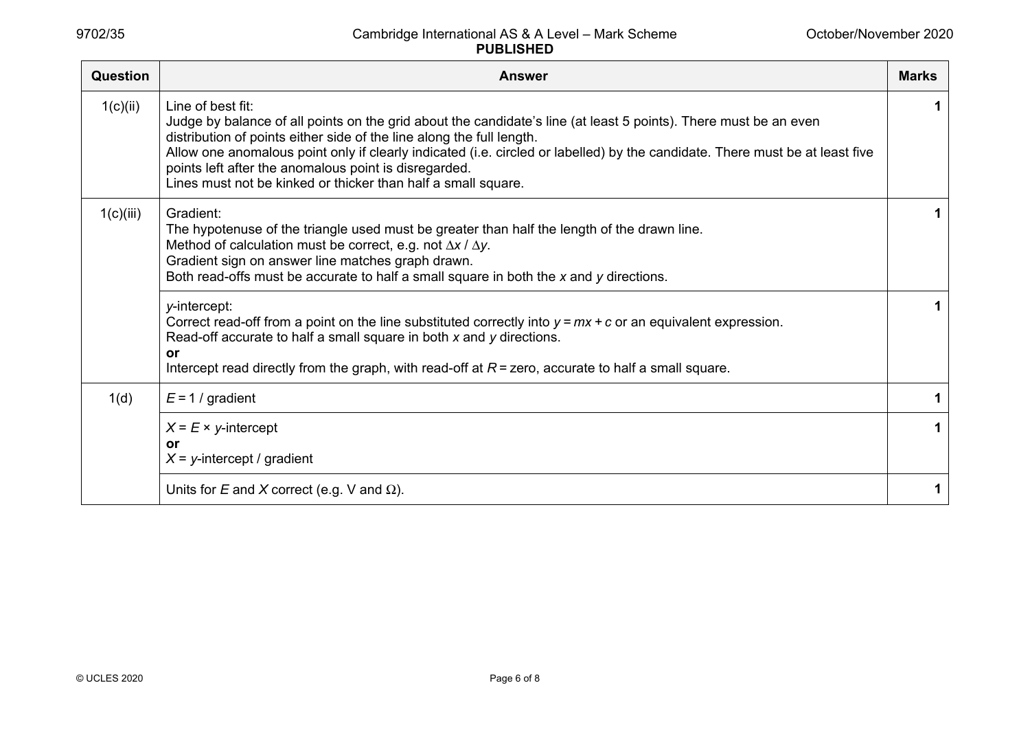| <b>Question</b> | <b>Answer</b>                                                                                                                                                                                                                                                                                                                                                                                                                                                            | <b>Marks</b> |
|-----------------|--------------------------------------------------------------------------------------------------------------------------------------------------------------------------------------------------------------------------------------------------------------------------------------------------------------------------------------------------------------------------------------------------------------------------------------------------------------------------|--------------|
| 1(c)(ii)        | Line of best fit:<br>Judge by balance of all points on the grid about the candidate's line (at least 5 points). There must be an even<br>distribution of points either side of the line along the full length.<br>Allow one anomalous point only if clearly indicated (i.e. circled or labelled) by the candidate. There must be at least five<br>points left after the anomalous point is disregarded.<br>Lines must not be kinked or thicker than half a small square. |              |
| 1(c)(iii)       | Gradient:<br>The hypotenuse of the triangle used must be greater than half the length of the drawn line.<br>Method of calculation must be correct, e.g. not $\Delta x / \Delta y$ .<br>Gradient sign on answer line matches graph drawn.<br>Both read-offs must be accurate to half a small square in both the x and y directions.                                                                                                                                       |              |
|                 | y-intercept:<br>Correct read-off from a point on the line substituted correctly into $y = mx + c$ or an equivalent expression.<br>Read-off accurate to half a small square in both x and y directions.<br><b>or</b><br>Intercept read directly from the graph, with read-off at $R =$ zero, accurate to half a small square.                                                                                                                                             |              |
| 1(d)            | $E = 1$ / gradient                                                                                                                                                                                                                                                                                                                                                                                                                                                       |              |
|                 | $X = E \times y$ -intercept<br>or<br>$X = y$ -intercept / gradient                                                                                                                                                                                                                                                                                                                                                                                                       |              |
|                 | Units for E and X correct (e.g. V and $\Omega$ ).                                                                                                                                                                                                                                                                                                                                                                                                                        |              |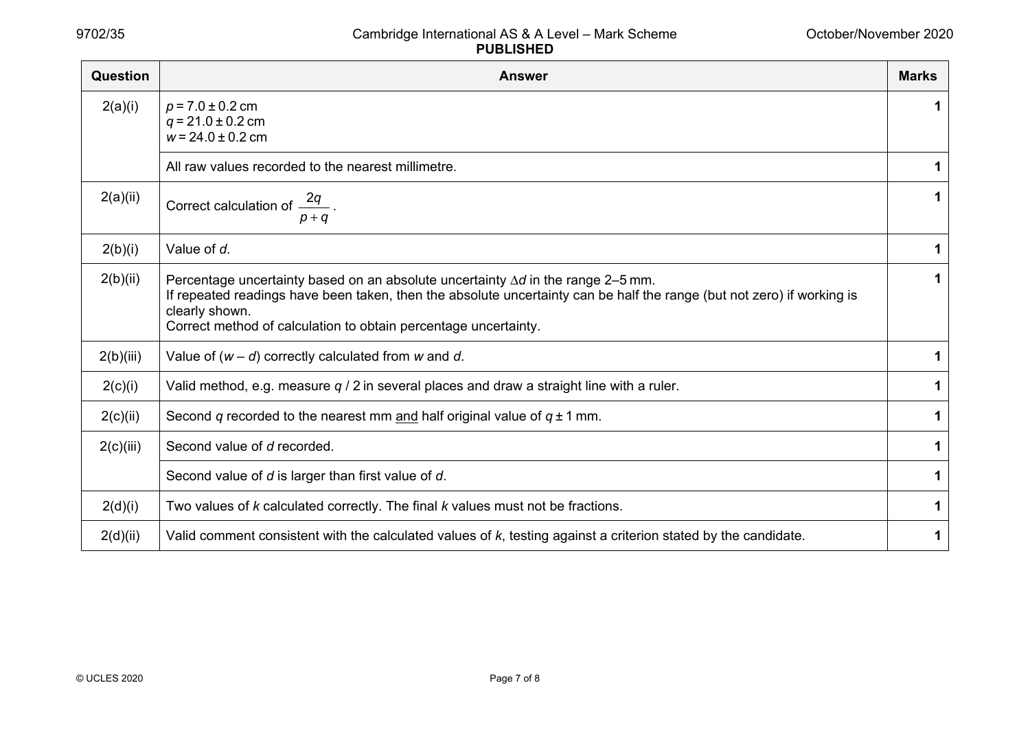| Question  | <b>Answer</b>                                                                                                                                                                                                                                                                                          | <b>Marks</b> |
|-----------|--------------------------------------------------------------------------------------------------------------------------------------------------------------------------------------------------------------------------------------------------------------------------------------------------------|--------------|
| 2(a)(i)   | $p = 7.0 \pm 0.2$ cm<br>$q = 21.0 \pm 0.2$ cm<br>$w = 24.0 \pm 0.2$ cm                                                                                                                                                                                                                                 | 1            |
|           | All raw values recorded to the nearest millimetre.                                                                                                                                                                                                                                                     | 1            |
| 2(a)(ii)  | Correct calculation of $\frac{2q}{p+q}$ .                                                                                                                                                                                                                                                              | 1            |
| 2(b)(i)   | Value of d.                                                                                                                                                                                                                                                                                            | 1            |
| 2(b)(ii)  | Percentage uncertainty based on an absolute uncertainty $\Delta d$ in the range 2–5 mm.<br>If repeated readings have been taken, then the absolute uncertainty can be half the range (but not zero) if working is<br>clearly shown.<br>Correct method of calculation to obtain percentage uncertainty. | 1            |
| 2(b)(iii) | Value of $(w - d)$ correctly calculated from w and d.                                                                                                                                                                                                                                                  | 1            |
| 2(c)(i)   | Valid method, e.g. measure $q / 2$ in several places and draw a straight line with a ruler.                                                                                                                                                                                                            | 1            |
| 2(c)(ii)  | Second q recorded to the nearest mm and half original value of $q \pm 1$ mm.                                                                                                                                                                                                                           | 1            |
| 2(c)(iii) | Second value of d recorded.                                                                                                                                                                                                                                                                            | 1            |
|           | Second value of d is larger than first value of d.                                                                                                                                                                                                                                                     | 1            |
| 2(d)(i)   | Two values of k calculated correctly. The final k values must not be fractions.                                                                                                                                                                                                                        | 1            |
| 2(d)(ii)  | Valid comment consistent with the calculated values of k, testing against a criterion stated by the candidate.                                                                                                                                                                                         | 1            |